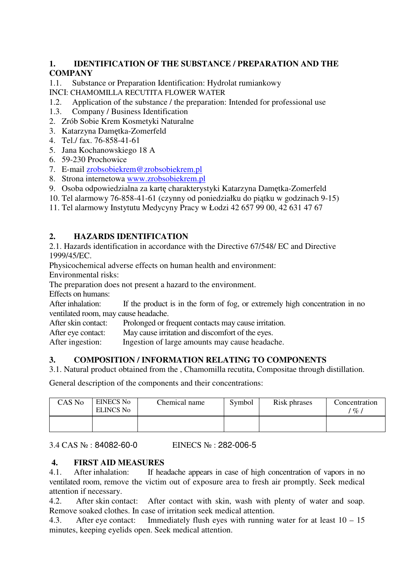## **1. IDENTIFICATION OF THE SUBSTANCE / PREPARATION AND THE COMPANY**

1.1. Substance or Preparation Identification: Hydrolat rumiankowy

- INCI: CHAMOMILLA RECUTITA FLOWER WATER
- 1.2. Application of the substance / the preparation: Intended for professional use
- 1.3. Company / Business Identification
- 2. Zrób Sobie Krem Kosmetyki Naturalne
- 3. Katarzyna Dam tka-Zomerfeld
- 4. Tel./ fax. 76-858-41-61
- 5. Jana Kochanowskiego 18 A
- 6. 59-230 Prochowice
- 7. E-mail zrobsobiekrem@zrobsobiekrem.pl
- 8. Strona internetowa www.zrobsobiekrem.pl
- 9. Osoba odpowiedzialna za kart charakterystyki Katarzyna Dam tka-Zomerfeld
- 10. Tel alarmowy 76-858-41-61 (czynny od poniedziałku do pi tku w godzinach 9-15)
- 11. Tel alarmowy Instytutu Medycyny Pracy w Łodzi 42 657 99 00, 42 631 47 67

# **2. HAZARDS IDENTIFICATION**

2.1. Hazards identification in accordance with the Directive 67/548/ EC and Directive 1999/45/EC.

Physicochemical adverse effects on human health and environment:

Environmental risks:

The preparation does not present a hazard to the environment.

Effects on humans:

After inhalation: If the product is in the form of fog, or extremely high concentration in no ventilated room, may cause headache.

After skin contact: Prolonged or frequent contacts may cause irritation.

After eye contact: May cause irritation and discomfort of the eyes.

After ingestion: Ingestion of large amounts may cause headache.

## **3. COMPOSITION / INFORMATION RELATING TO COMPONENTS**

3.1. Natural product obtained from the , Chamomilla recutita, Compositae through distillation.

General description of the components and their concentrations:

| CAS No | <b>EINECS No</b><br><b>ELINCS No</b> | Chemical name | Symbol | Risk phrases | Concentration<br>$\%$ , |
|--------|--------------------------------------|---------------|--------|--------------|-------------------------|
|        |                                      |               |        |              |                         |

3.4 CAS : 84082-60-0 EINECS : 282-006-5

## **4. FIRST AID MEASURES**

4.1. After inhalation: If headache appears in case of high concentration of vapors in no ventilated room, remove the victim out of exposure area to fresh air promptly. Seek medical attention if necessary.

4.2. After skin contact: After contact with skin, wash with plenty of water and soap. Remove soaked clothes. In case of irritation seek medical attention.

4.3. After eye contact: Immediately flush eyes with running water for at least 10 – 15 minutes, keeping eyelids open. Seek medical attention.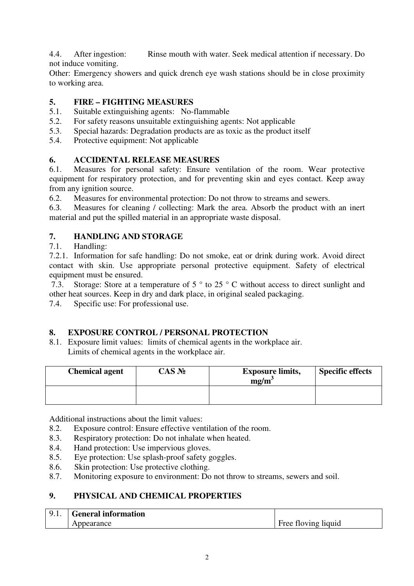4.4. After ingestion: Rinse mouth with water. Seek medical attention if necessary. Do not induce vomiting.

Other: Emergency showers and quick drench eye wash stations should be in close proximity to working area.

## **5. FIRE – FIGHTING MEASURES**

- 5.1. Suitable extinguishing agents: No-flammable
- 5.2. For safety reasons unsuitable extinguishing agents: Not applicable
- 5.3. Special hazards: Degradation products are as toxic as the product itself
- 5.4. Protective equipment: Not applicable

## **6. ACCIDENTAL RELEASE MEASURES**

6.1. Measures for personal safety: Ensure ventilation of the room. Wear protective equipment for respiratory protection, and for preventing skin and eyes contact. Keep away from any ignition source.

6.2. Measures for environmental protection: Do not throw to streams and sewers.

6. . Measures for cleaning / collecting: Mark the area. Absorb the product with an inert material and put the spilled material in an appropriate waste disposal.

# **7. HANDLING AND STORAGE**

## 7.1. Handling:

7.2.1. Information for safe handling: Do not smoke, eat or drink during work. Avoid direct contact with skin. Use appropriate personal protective equipment. Safety of electrical equipment must be ensured.

 7.3. Storage: Store at a temperature of 5 ° to 25 ° C without access to direct sunlight and other heat sources. Keep in dry and dark place, in original sealed packaging.

7.4. Specific use: For professional use.

# **8. EXPOSURE CONTROL / PERSONAL PROTECTION**

8.1. Exposure limit values: limits of chemical agents in the workplace air. Limits of chemical agents in the workplace air.

| <b>Chemical agent</b> | $CAS$ No | <b>Exposure limits,</b><br>mg/m | <b>Specific effects</b> |
|-----------------------|----------|---------------------------------|-------------------------|
|                       |          |                                 |                         |

Additional instructions about the limit values:

- 8.2. Exposure control: Ensure effective ventilation of the room.
- 8.3. Respiratory protection: Do not inhalate when heated.
- 8.4. Hand protection: Use impervious gloves.
- 8.5. Eye protection: Use splash-proof safety goggles.
- 8.6. Skin protection: Use protective clothing.
- 8.7. Monitoring exposure to environment: Do not throw to streams, sewers and soil.

# **9. PHYSICAL AND CHEMICAL PROPERTIES**

| . വ | <b>General information</b> |                     |
|-----|----------------------------|---------------------|
|     | Appearance                 | Free floving liquid |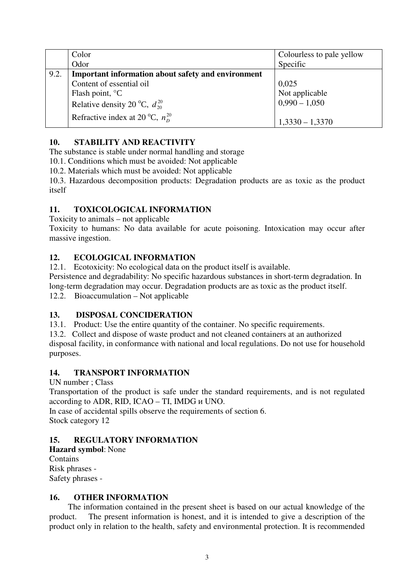|      | Color                                                     | Colourless to pale yellow |
|------|-----------------------------------------------------------|---------------------------|
|      | Odor                                                      | Specific                  |
| 9.2. | <b>Important information about safety and environment</b> |                           |
|      | Content of essential oil                                  | 0,025                     |
|      | Flash point, <sup>o</sup>                                 | Not applicable            |
|      | Relative density 20, $d_{20}^{20}$                        | $0,990 - 1,050$           |
|      | $n_{D}^{20}$<br>Refractive index at 20                    | $1,3330 - 1,3370$         |

## **10. STABILITY AND REACTIVITY**

The substance is stable under normal handling and storage

10.1. Conditions which must be avoided: Not applicable

10.2. Materials which must be avoided: Not applicable

10.3. Hazardous decomposition products: Degradation products are as toxic as the product itself

## **11. TOXICOLOGICAL INFORMATION**

Toxicity to animals – not applicable

Toxicity to humans: No data available for acute poisoning. Intoxication may occur after massive ingestion.

## **12. ECOLOGICAL INFORMATION**

12.1. Ecotoxicity: No ecological data on the product itself is available.

Persistence and degradability: No specific hazardous substances in short-term degradation. In long-term degradation may occur. Degradation products are as toxic as the product itself. 12.2. Bioaccumulation – Not applicable

# **13. DISPOSAL CONCIDERATION**

13.1. Product: Use the entire quantity of the container. No specific requirements.

13.2. Collect and dispose of waste product and not cleaned containers at an authorized disposal facility, in conformance with national and local regulations. Do not use for household purposes.

## **14. TRANSPORT INFORMATION**

UN number ; Class

Transportation of the product is safe under the standard requirements, and is not regulated according to ADR, RID, ICAO – TI, IMDG UNO.

In case of accidental spills observe the requirements of section 6. Stock category 12

# **15. REGULATORY INFORMATION**

**Hazard symbol**: None Contains Risk phrases - Safety phrases -

## **16. OTHER INFORMATION**

The information contained in the present sheet is based on our actual knowledge of the product. The present information is honest, and it is intended to give a description of the product only in relation to the health, safety and environmental protection. It is recommended